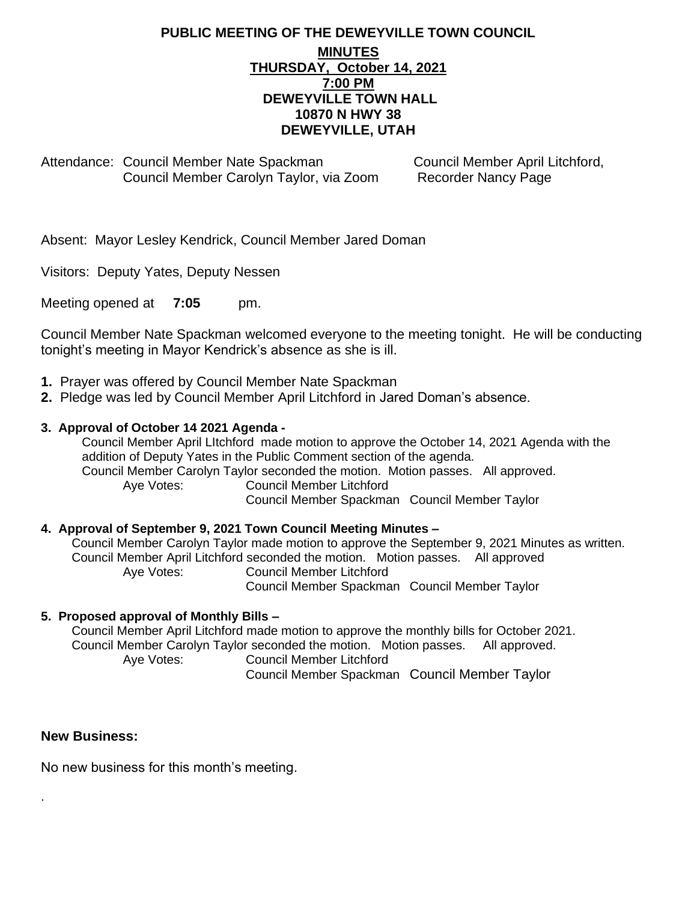## **PUBLIC MEETING OF THE DEWEYVILLE TOWN COUNCIL MINUTES THURSDAY, October 14, 2021 7:00 PM DEWEYVILLE TOWN HALL 10870 N HWY 38 DEWEYVILLE, UTAH**

Attendance: Council Member Nate Spackman Council Member April Litchford,<br>Council Member Carolyn Taylor, via Zoom Recorder Nancy Page Council Member Carolyn Taylor, via Zoom

Absent: Mayor Lesley Kendrick, Council Member Jared Doman

Visitors: Deputy Yates, Deputy Nessen

Meeting opened at **7:05** pm.

Council Member Nate Spackman welcomed everyone to the meeting tonight. He will be conducting tonight's meeting in Mayor Kendrick's absence as she is ill.

- **1.** Prayer was offered by Council Member Nate Spackman
- **2.** Pledge was led by Council Member April Litchford in Jared Doman's absence.

### **3. Approval of October 14 2021 Agenda -**

Council Member April LItchford made motion to approve the October 14, 2021 Agenda with the addition of Deputy Yates in the Public Comment section of the agenda. Council Member Carolyn Taylor seconded the motion. Motion passes. All approved. Aye Votes: Council Member Litchford

Council Member Spackman Council Member Taylor

### **4. Approval of September 9, 2021 Town Council Meeting Minutes –**

Council Member Carolyn Taylor made motion to approve the September 9, 2021 Minutes as written. Council Member April Litchford seconded the motion. Motion passes. All approved Aye Votes: Council Member Litchford Council Member Spackman Council Member Taylor

### **5. Proposed approval of Monthly Bills –**

Council Member April Litchford made motion to approve the monthly bills for October 2021. Council Member Carolyn Taylor seconded the motion. Motion passes. All approved. Aye Votes: Council Member Litchford Council Member Spackman Council Member Taylor

### **New Business:**

.

No new business for this month's meeting.